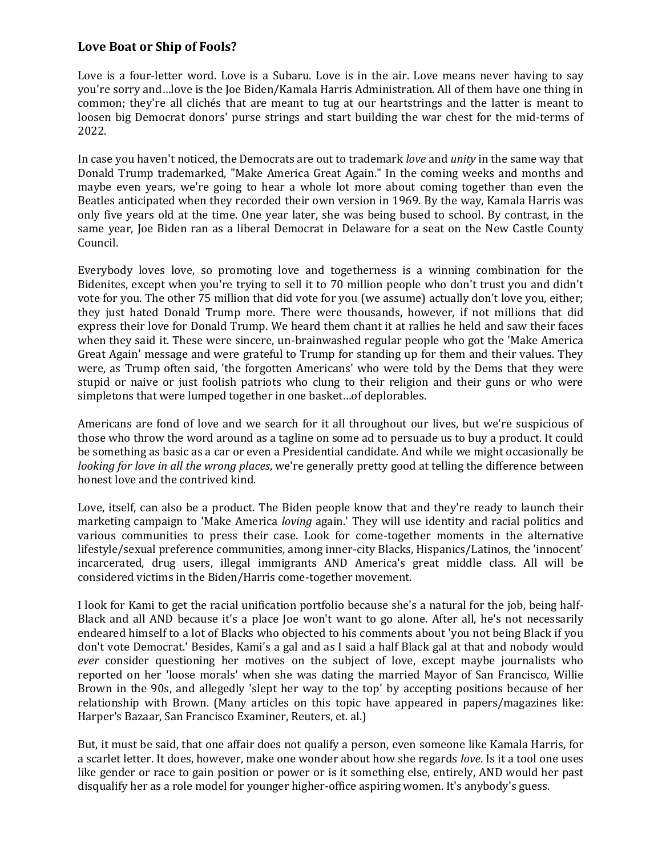## **Love Boat or Ship of Fools?**

Love is a four-letter word. Love is a Subaru. Love is in the air. Love means never having to say you're sorry and…love is the Joe Biden/Kamala Harris Administration. All of them have one thing in common; they're all clichés that are meant to tug at our heartstrings and the latter is meant to loosen big Democrat donors' purse strings and start building the war chest for the mid-terms of 2022.

In case you haven't noticed, the Democrats are out to trademark *love* and *unity* in the same way that Donald Trump trademarked, "Make America Great Again." In the coming weeks and months and maybe even years, we're going to hear a whole lot more about coming together than even the Beatles anticipated when they recorded their own version in 1969. By the way, Kamala Harris was only five years old at the time. One year later, she was being bused to school. By contrast, in the same year, Joe Biden ran as a liberal Democrat in Delaware for a seat on the New Castle County Council.

Everybody loves love, so promoting love and togetherness is a winning combination for the Bidenites, except when you're trying to sell it to 70 million people who don't trust you and didn't vote for you. The other 75 million that did vote for you (we assume) actually don't love you, either; they just hated Donald Trump more. There were thousands, however, if not millions that did express their love for Donald Trump. We heard them chant it at rallies he held and saw their faces when they said it. These were sincere, un-brainwashed regular people who got the 'Make America Great Again' message and were grateful to Trump for standing up for them and their values. They were, as Trump often said, 'the forgotten Americans' who were told by the Dems that they were stupid or naive or just foolish patriots who clung to their religion and their guns or who were simpletons that were lumped together in one basket…of deplorables.

Americans are fond of love and we search for it all throughout our lives, but we're suspicious of those who throw the word around as a tagline on some ad to persuade us to buy a product. It could be something as basic as a car or even a Presidential candidate. And while we might occasionally be *looking for love in all the wrong places*, we're generally pretty good at telling the difference between honest love and the contrived kind.

Love, itself, can also be a product. The Biden people know that and they're ready to launch their marketing campaign to 'Make America *loving* again.' They will use identity and racial politics and various communities to press their case. Look for come-together moments in the alternative lifestyle/sexual preference communities, among inner-city Blacks, Hispanics/Latinos, the 'innocent' incarcerated, drug users, illegal immigrants AND America's great middle class. All will be considered victims in the Biden/Harris come-together movement.

I look for Kami to get the racial unification portfolio because she's a natural for the job, being half-Black and all AND because it's a place Joe won't want to go alone. After all, he's not necessarily endeared himself to a lot of Blacks who objected to his comments about 'you not being Black if you don't vote Democrat.' Besides, Kami's a gal and as I said a half Black gal at that and nobody would *ever* consider questioning her motives on the subject of love, except maybe journalists who reported on her 'loose morals' when she was dating the married Mayor of San Francisco, Willie Brown in the 90s, and allegedly 'slept her way to the top' by accepting positions because of her relationship with Brown. (Many articles on this topic have appeared in papers/magazines like: Harper's Bazaar, San Francisco Examiner, Reuters, et. al.)

But, it must be said, that one affair does not qualify a person, even someone like Kamala Harris, for a scarlet letter. It does, however, make one wonder about how she regards *love*. Is it a tool one uses like gender or race to gain position or power or is it something else, entirely, AND would her past disqualify her as a role model for younger higher-office aspiring women. It's anybody's guess.